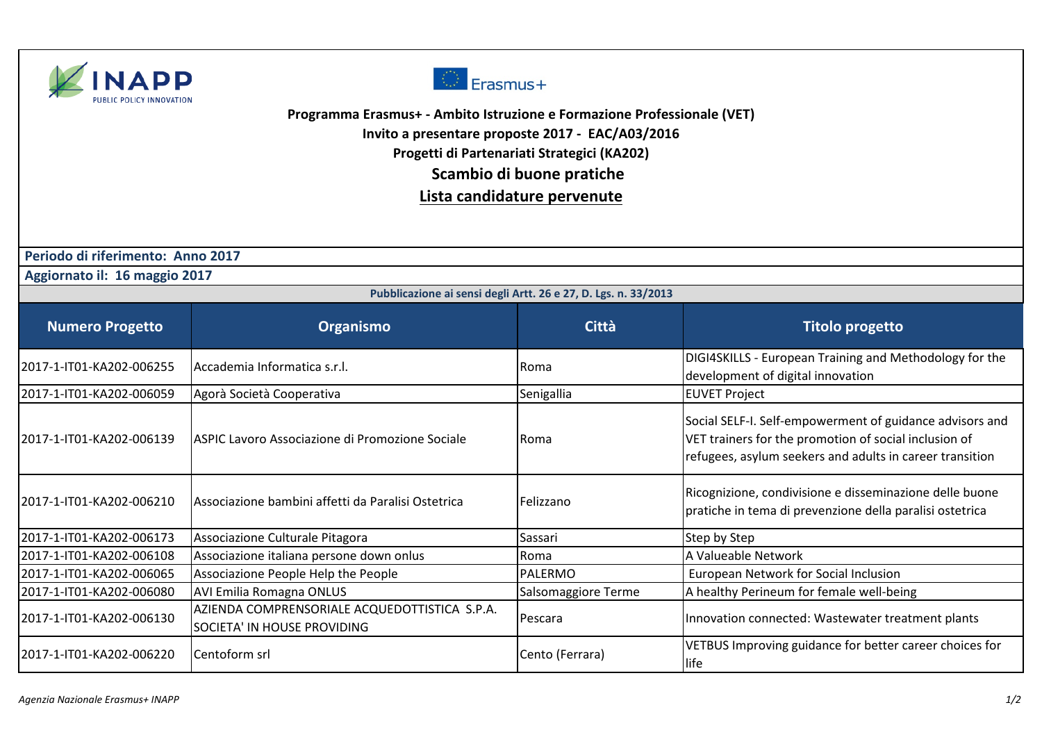



**Programma Erasmus+ - Ambito Istruzione e Formazione Professionale (VET)**

**Invito a presentare proposte 2017 - EAC/A03/2016**

**Progetti di Partenariati Strategici (KA202)** 

 **Scambio di buone pratiche** 

**Lista candidature pervenute**

 **Periodo di riferimento: Anno 2017**

 **Aggiornato il: 16 maggio 2017**

| Pubblicazione ai sensi degli Artt. 26 e 27, D. Lgs. n. 33/2013 |                                                                              |                     |                                                                                                                                                                               |  |
|----------------------------------------------------------------|------------------------------------------------------------------------------|---------------------|-------------------------------------------------------------------------------------------------------------------------------------------------------------------------------|--|
| <b>Numero Progetto</b>                                         | Organismo                                                                    | <b>Città</b>        | <b>Titolo progetto</b>                                                                                                                                                        |  |
| 2017-1-IT01-KA202-006255                                       | Accademia Informatica s.r.l.                                                 | Roma                | DIGI4SKILLS - European Training and Methodology for the<br>development of digital innovation                                                                                  |  |
| 2017-1-IT01-KA202-006059                                       | Agorà Società Cooperativa                                                    | Senigallia          | <b>EUVET Project</b>                                                                                                                                                          |  |
| 2017-1-IT01-KA202-006139                                       | ASPIC Lavoro Associazione di Promozione Sociale                              | <b>Roma</b>         | Social SELF-I. Self-empowerment of guidance advisors and<br>VET trainers for the promotion of social inclusion of<br>refugees, asylum seekers and adults in career transition |  |
| 2017-1-IT01-KA202-006210                                       | Associazione bambini affetti da Paralisi Ostetrica                           | Felizzano           | Ricognizione, condivisione e disseminazione delle buone<br>pratiche in tema di prevenzione della paralisi ostetrica                                                           |  |
| 2017-1-IT01-KA202-006173                                       | Associazione Culturale Pitagora                                              | Sassari             | Step by Step                                                                                                                                                                  |  |
| 2017-1-IT01-KA202-006108                                       | Associazione italiana persone down onlus                                     | Roma                | A Valueable Network                                                                                                                                                           |  |
| 2017-1-IT01-KA202-006065                                       | Associazione People Help the People                                          | <b>PALERMO</b>      | European Network for Social Inclusion                                                                                                                                         |  |
| 2017-1-IT01-KA202-006080                                       | <b>AVI Emilia Romagna ONLUS</b>                                              | Salsomaggiore Terme | A healthy Perineum for female well-being                                                                                                                                      |  |
| 2017-1-IT01-KA202-006130                                       | AZIENDA COMPRENSORIALE ACQUEDOTTISTICA S.P.A.<br>SOCIETA' IN HOUSE PROVIDING | Pescara             | Innovation connected: Wastewater treatment plants                                                                                                                             |  |
| 2017-1-IT01-KA202-006220                                       | Centoform srl                                                                | Cento (Ferrara)     | VETBUS Improving guidance for better career choices for<br>life                                                                                                               |  |